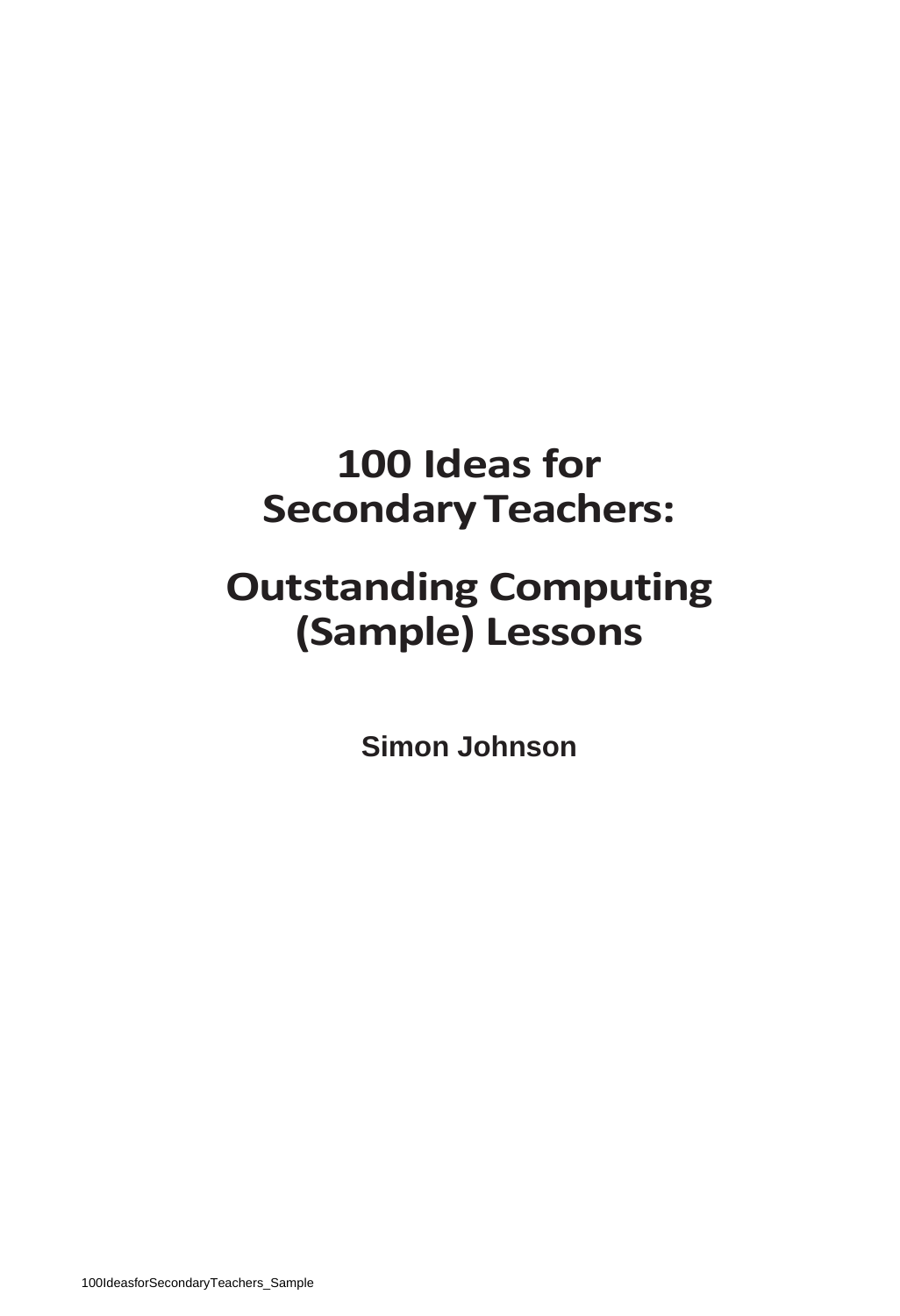### **100 Ideas for SecondaryTeachers:**

### **Outstanding Computing (Sample) Lessons**

**Simon Johnson**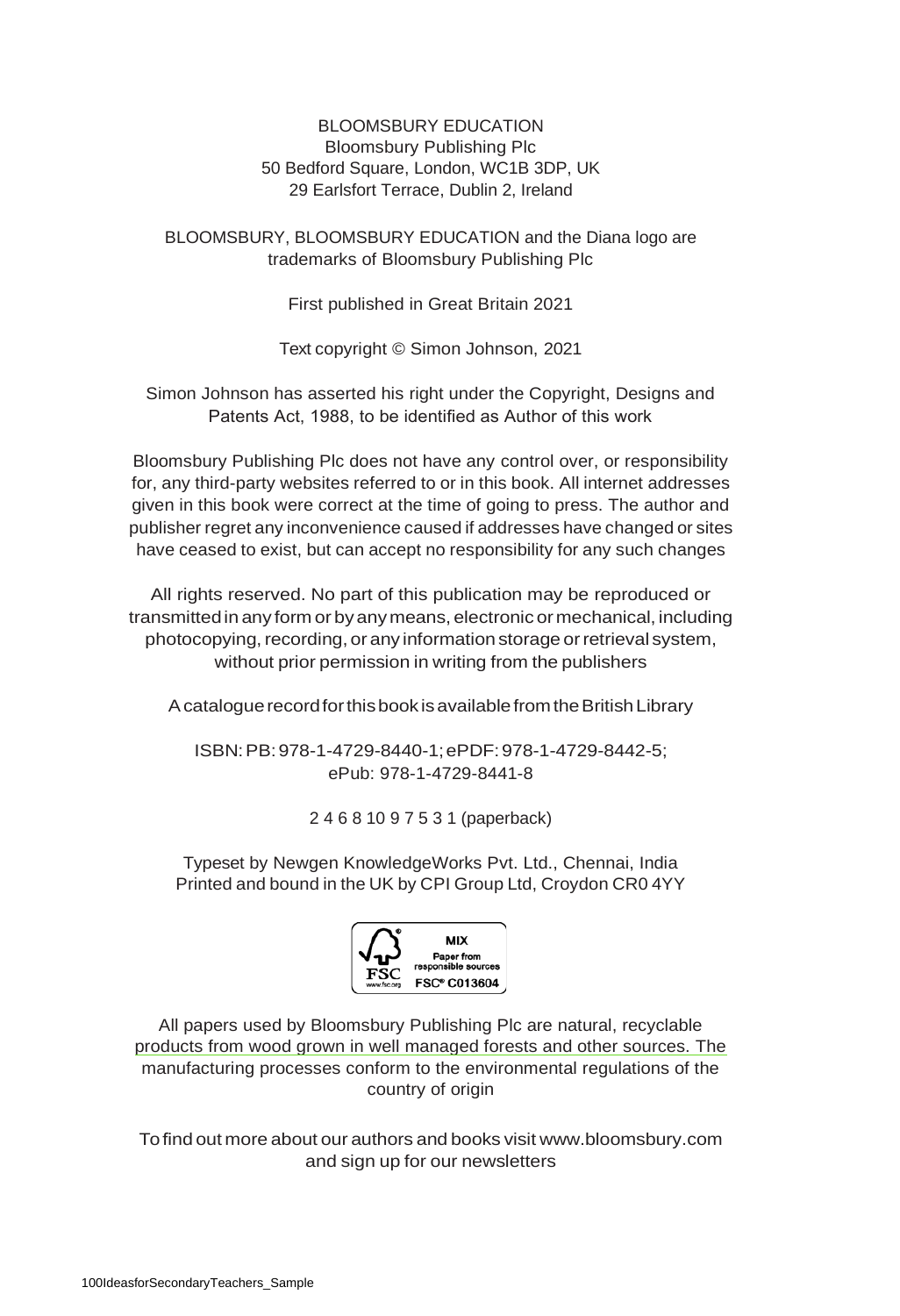### BLOOMSBURY EDUCATION Bloomsbury Publishing Plc 50 Bedford Square, London, WC1B 3DP, UK 29 Earlsfort Terrace, Dublin 2, Ireland

BLOOMSBURY, BLOOMSBURY EDUCATION and the Diana logo are trademarks of Bloomsbury Publishing Plc

First published in Great Britain 2021

Text copyright © Simon Johnson, 2021

Simon Johnson has asserted his right under the Copyright, Designs and Patents Act, 1988, to be identified as Author of this work

Bloomsbury Publishing Plc does not have any control over, or responsibility for, any third-party websites referred to or in this book. All internet addresses given in this book were correct at the time of going to press. The author and publisher regret any inconvenience caused if addresses have changed or sites have ceased to exist, but can accept no responsibility for any such changes

All rights reserved. No part of this publication may be reproduced or transmittedin any form or byanymeans, electronic or mechanical, including photocopying, recording, or any information storage or retrieval system, without prior permission in writing from the publishers

A catalogue record for this book is available from the British Library

ISBN:PB:978-1-4729-8440-1;ePDF:978-1-4729-8442-5; ePub: 978-1-4729-8441-8

2 4 6 8 10 9 7 5 3 1 (paperback)

Typeset by Newgen KnowledgeWorks Pvt. Ltd., Chennai, India Printed and bound in the UK by CPI Group Ltd, Croydon CR0 4YY



All papers used by Bloomsbury Publishing Plc are natural, recyclable products from wood grown in well managed forests and other sources. The manufacturing processes conform to the environmental regulations of the country of origin

Tofind out more about our authors and books visit [www.bloomsbury.com](http://www.bloomsbury.com/) and sign up for our newsletters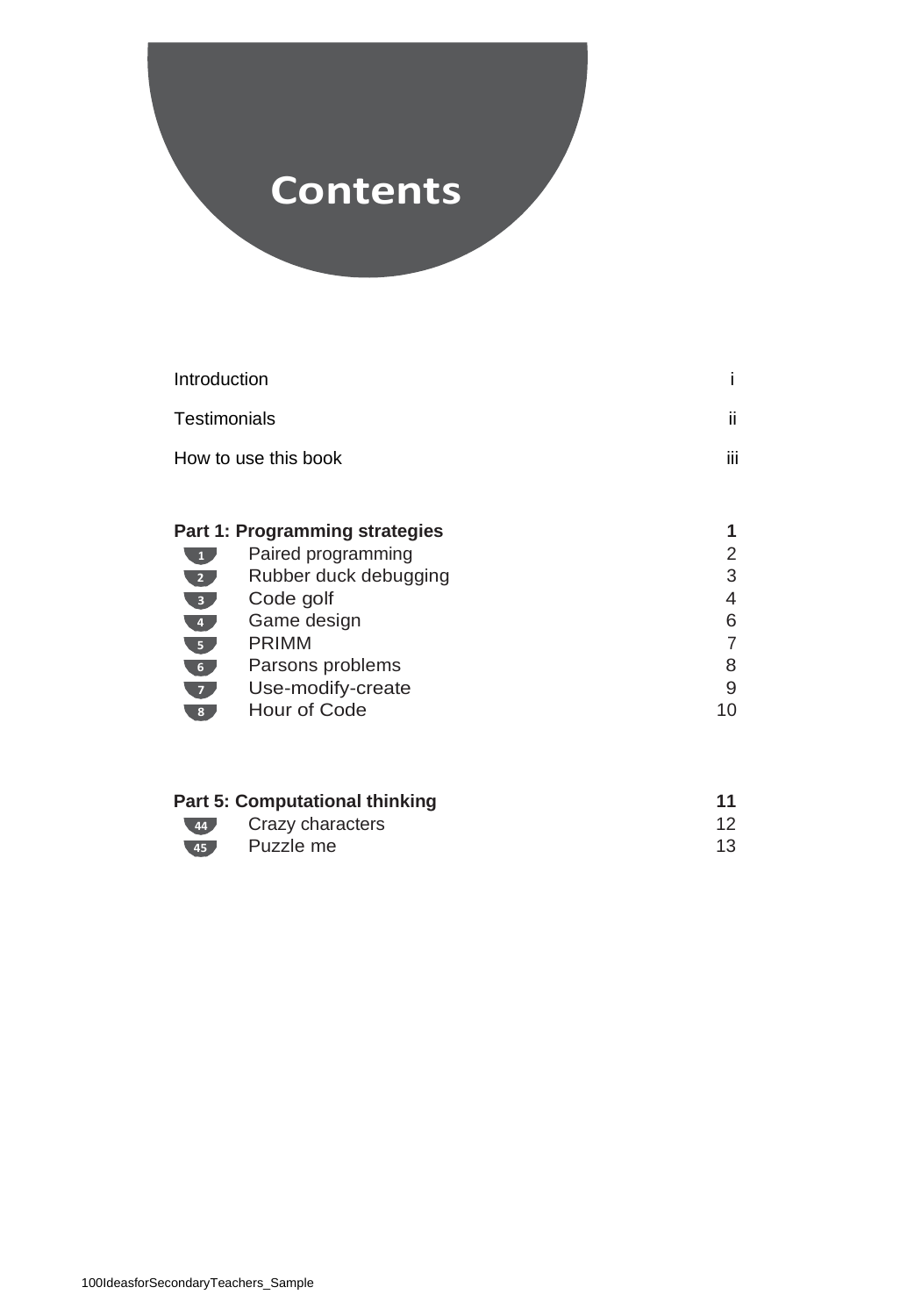### **Contents**

| Introduction                |                                | i  |
|-----------------------------|--------------------------------|----|
| Testimonials                |                                | ii |
| How to use this book        | iii                            |    |
|                             |                                |    |
|                             | Part 1: Programming strategies |    |
| $\mathbf{1}$                | Paired programming             | 2  |
| 2 <sub>1</sub>              | Rubber duck debugging          | 3  |
| 3 <sub>1</sub>              | Code golf                      | 4  |
| $\overline{4}$              | Game design                    | 6  |
| $\overline{\phantom{a}}$ 5. | <b>PRIMM</b>                   | 7  |
| 6 <sub>1</sub>              | Parsons problems               | 8  |
| $\overline{z}$              | Use-modify-create              | 9  |
| 8                           | Hour of Code                   | 10 |
|                             |                                |    |

|             | Part 5: Computational thinking |    |
|-------------|--------------------------------|----|
|             | 44 Crazy characters            |    |
| $\sqrt{45}$ | Puzzle me                      | 13 |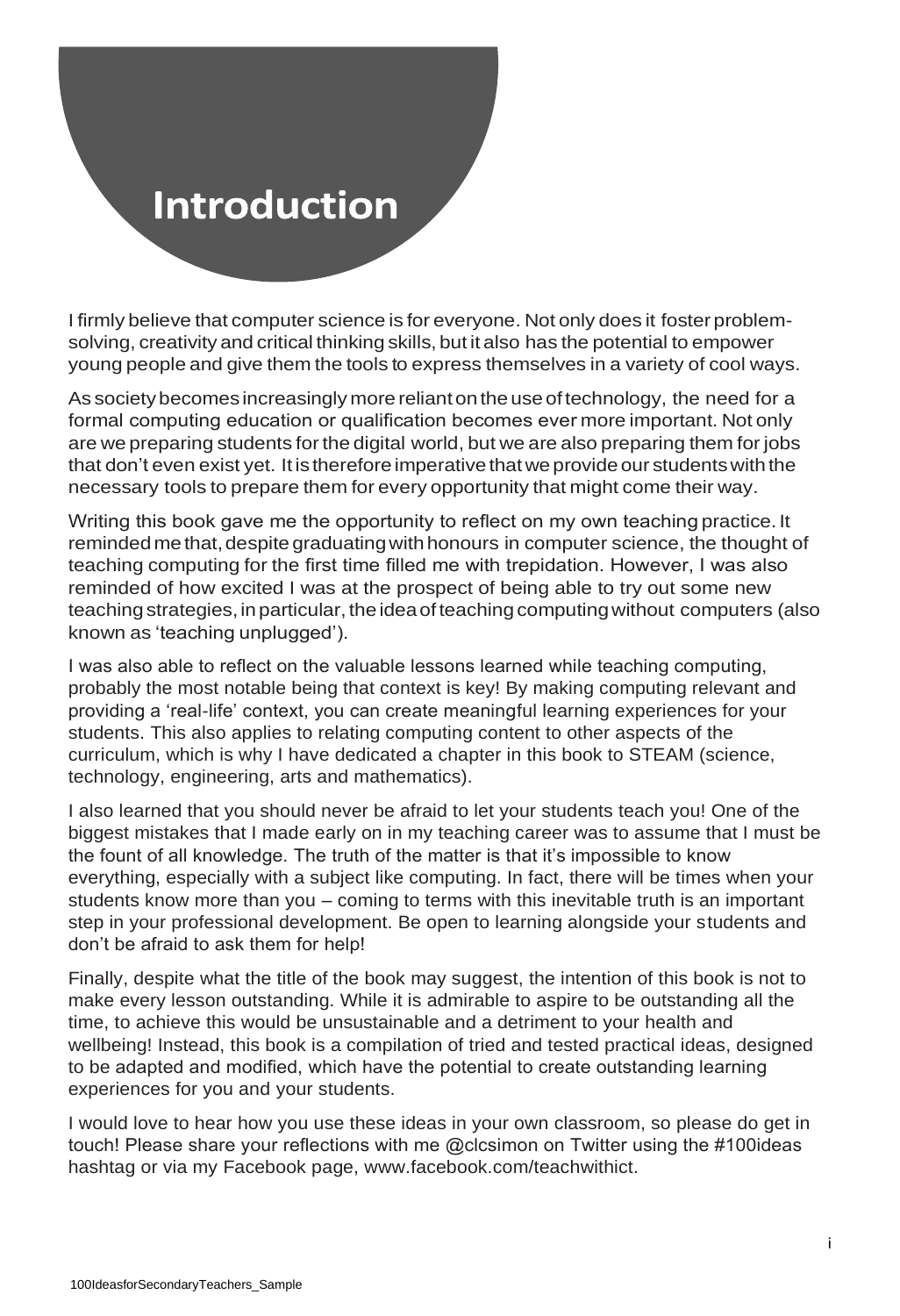### **Introduction**

I firmly believe that computer science is for everyone. Not only does it foster problemsolving, creativity and critical thinking skills, but it also has the potential to empower young people and give them the tools to express themselves in a variety of cool ways.

As society becomes increasingly more reliant on the use of technology, the need for a formal computing education or qualification becomes ever more important. Not only are we preparing students for the digital world, but we are also preparing them for jobs that don't even exist yet. It is therefore imperative that we provide our students with the necessary tools to prepare them for every opportunity that might come their way.

Writing this book gave me the opportunity to reflect on my own teaching practice.It reminded methat, despite graduating with honours in computer science, the thought of teaching computing for the first time filled me with trepidation. However, I was also reminded of how excited I was at the prospect of being able to try out some new teaching strategies,inparticular, theideaofteaching computingwithout computers (also known as 'teaching unplugged').

I was also able to reflect on the valuable lessons learned while teaching computing, probably the most notable being that context is key! By making computing relevant and providing a 'real-life' context, you can create meaningful learning experiences for your students. This also applies to relating computing content to other aspects of the curriculum, which is why I have dedicated a chapter in this book to STEAM (science, technology, engineering, arts and mathematics).

I also learned that you should never be afraid to let your students teach you! One of the biggest mistakes that I made early on in my teaching career was to assume that I must be the fount of all knowledge. The truth of the matter is that it's impossible to know everything, especially with a subject like computing. In fact, there will be times when your students know more than you – coming to terms with this inevitable truth is an important step in your professional development. Be open to learning alongside your students and don't be afraid to ask them for help!

Finally, despite what the title of the book may suggest, the intention of this book is not to make every lesson outstanding. While it is admirable to aspire to be outstanding all the time, to achieve this would be unsustainable and a detriment to your health and wellbeing! Instead, this book is a compilation of tried and tested practical ideas, designed to be adapted and modified, which have the potential to create outstanding learning experiences for you and your students.

I would love to hear how you use these ideas in your own classroom, so please do get in touch! Please share your reflections with me @clcsimon on Twitter using the #100ideas hashtag or via my Facebook page, www.facebook.com/teachwithict.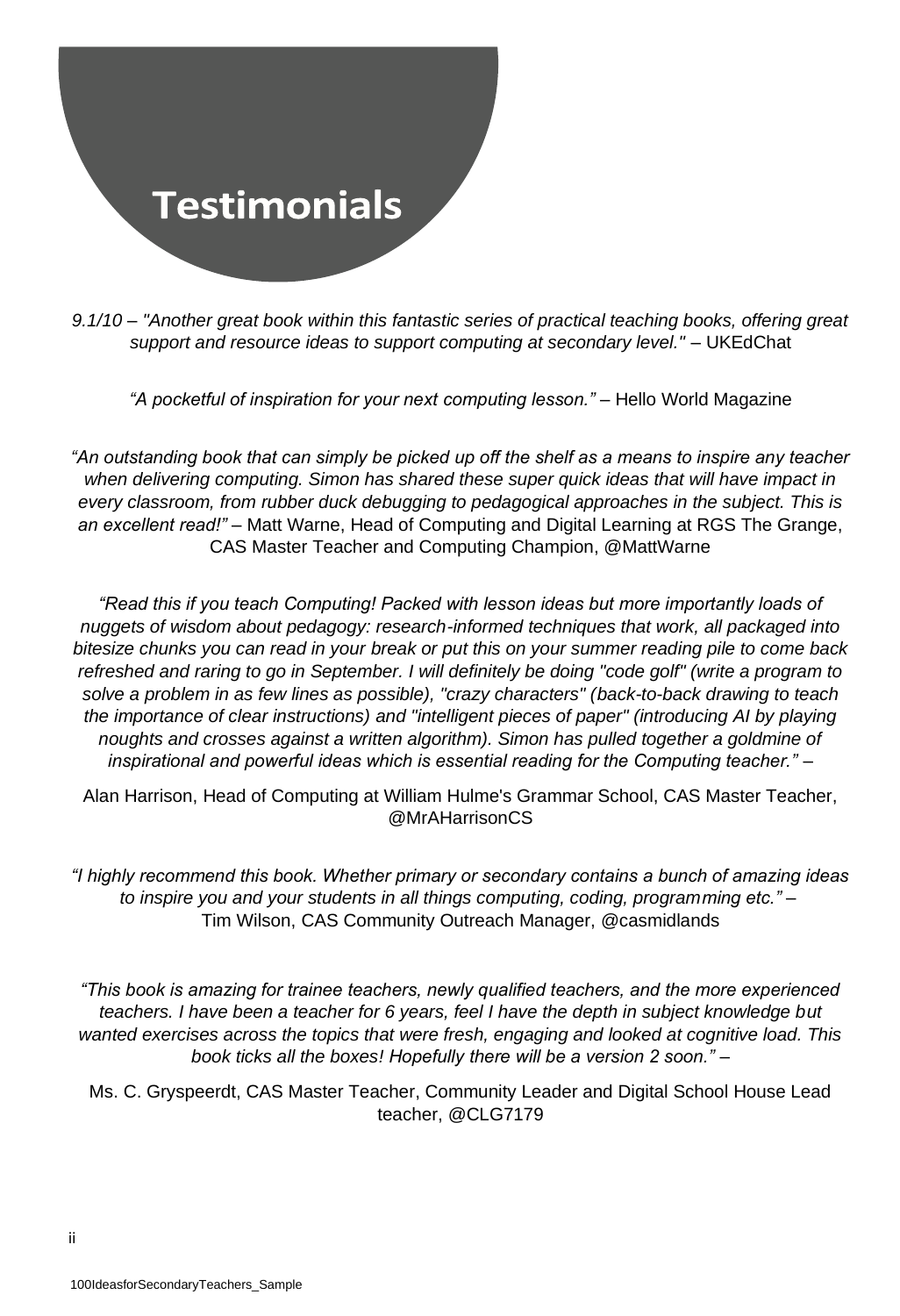

*9.1/10 – "Another great book within this fantastic series of practical teaching books, offering great support and resource ideas to support computing at secondary level."* – UKEdChat

*"A pocketful of inspiration for your next computing lesson."* – Hello World Magazine

*"An outstanding book that can simply be picked up off the shelf as a means to inspire any teacher when delivering computing. Simon has shared these super quick ideas that will have impact in every classroom, from rubber duck debugging to pedagogical approaches in the subject. This is an excellent read!"* – Matt Warne, Head of Computing and Digital Learning at RGS The Grange, CAS Master Teacher and Computing Champion, @MattWarne

*"Read this if you teach Computing! Packed with lesson ideas but more importantly loads of nuggets of wisdom about pedagogy: research-informed techniques that work, all packaged into bitesize chunks you can read in your break or put this on your summer reading pile to come back refreshed and raring to go in September. I will definitely be doing "code golf" (write a program to solve a problem in as few lines as possible), "crazy characters" (back-to-back drawing to teach the importance of clear instructions) and "intelligent pieces of paper" (introducing AI by playing*  noughts and crosses against a written algorithm). Simon has pulled together a goldmine of *inspirational and powerful ideas which is essential reading for the Computing teacher."* –

Alan Harrison, Head of Computing at William Hulme's Grammar School, CAS Master Teacher, @MrAHarrisonCS

*"I highly recommend this book. Whether primary or secondary contains a bunch of amazing ideas to inspire you and your students in all things computing, coding, programming etc." –* Tim Wilson, CAS Community Outreach Manager, @casmidlands

*"This book is amazing for trainee teachers, newly qualified teachers, and the more experienced teachers. I have been a teacher for 6 years, feel I have the depth in subject knowledge but wanted exercises across the topics that were fresh, engaging and looked at cognitive load. This book ticks all the boxes! Hopefully there will be a version 2 soon." –*

Ms. C. Gryspeerdt, CAS Master Teacher, Community Leader and Digital School House Lead teacher, @CLG7179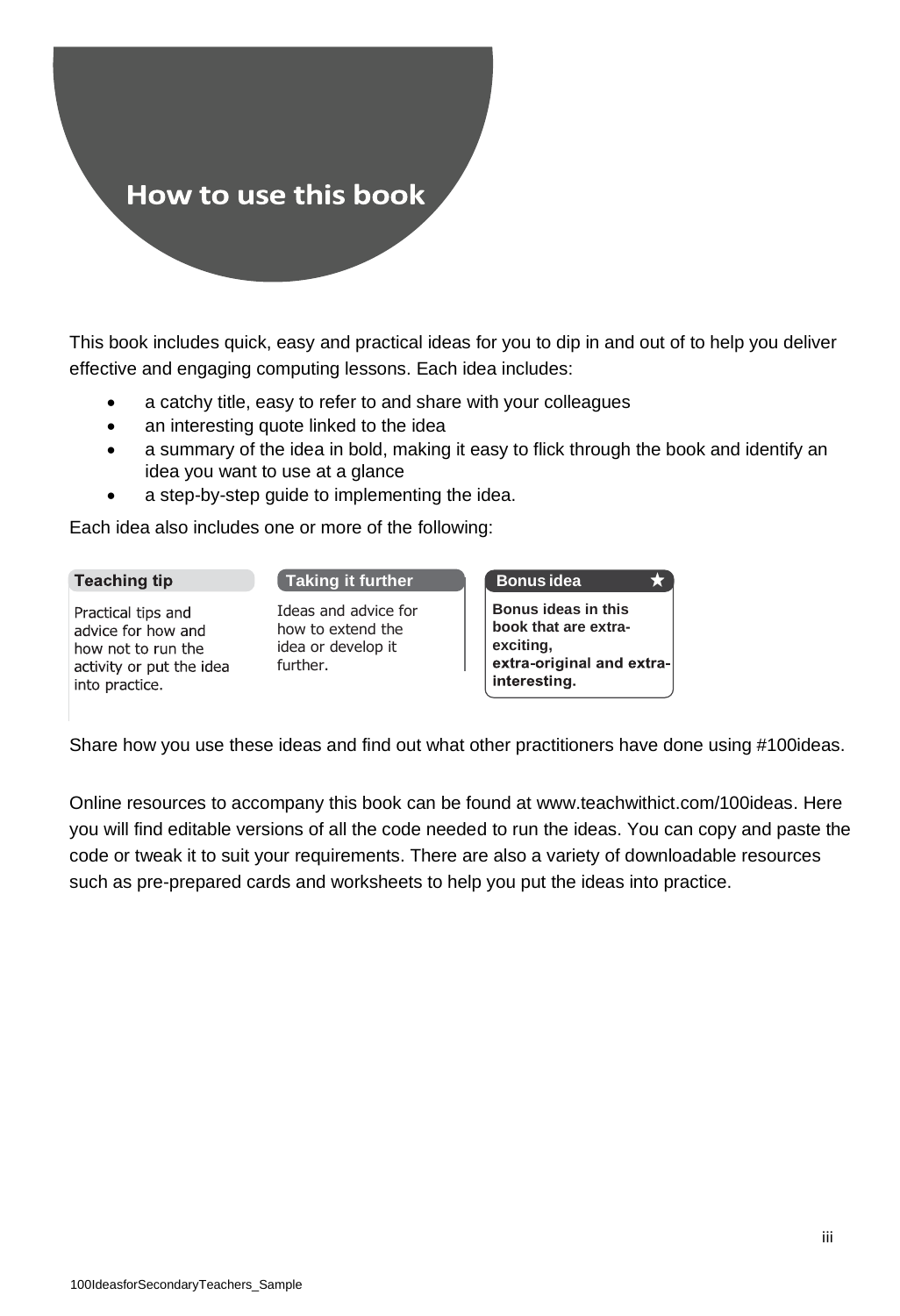### How to use this book

This book includes quick, easy and practical ideas for you to dip in and out of to help you deliver effective and engaging computing lessons. Each idea includes:

- a catchy title, easy to refer to and share with your colleagues
- an interesting quote linked to the idea
- a summary of the idea in bold, making it easy to flick through the book and identify an idea you want to use at a glance
- a step-by-step guide to implementing the idea.

Each idea also includes one or more of the following:

#### **Teaching tip**

Practical tips and advice for how and how not to run the activity or put the idea into practice.

#### **Taking it further**

Ideas and advice for how to extend the idea or develop it further.

| <b>Bonus idea</b>         |
|---------------------------|
| Bonus ideas in this       |
| book that are extra-      |
| exciting,                 |
| extra-original and extra- |
| interesting.              |
|                           |

Share how you use these ideas and find out what other practitioners have done using #100ideas.

Online resources to accompany this book can be found at www.teachwithict.com/100ideas. Here you will find editable versions of all the code needed to run the ideas. You can copy and paste the code or tweak it to suit your requirements. There are also a variety of downloadable resources such as pre-prepared cards and worksheets to help you put the ideas into practice.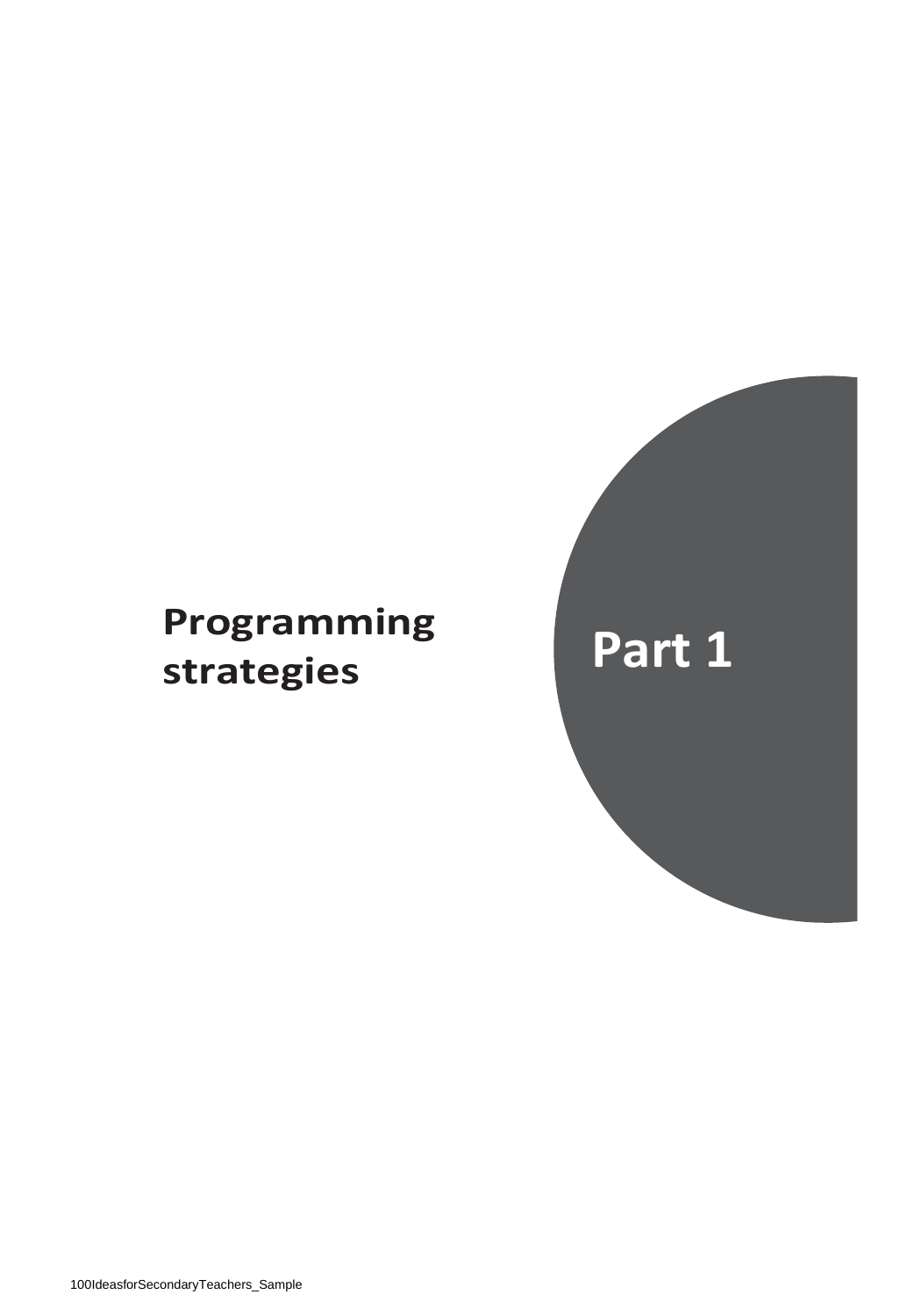## **Programming strategies Part 1**

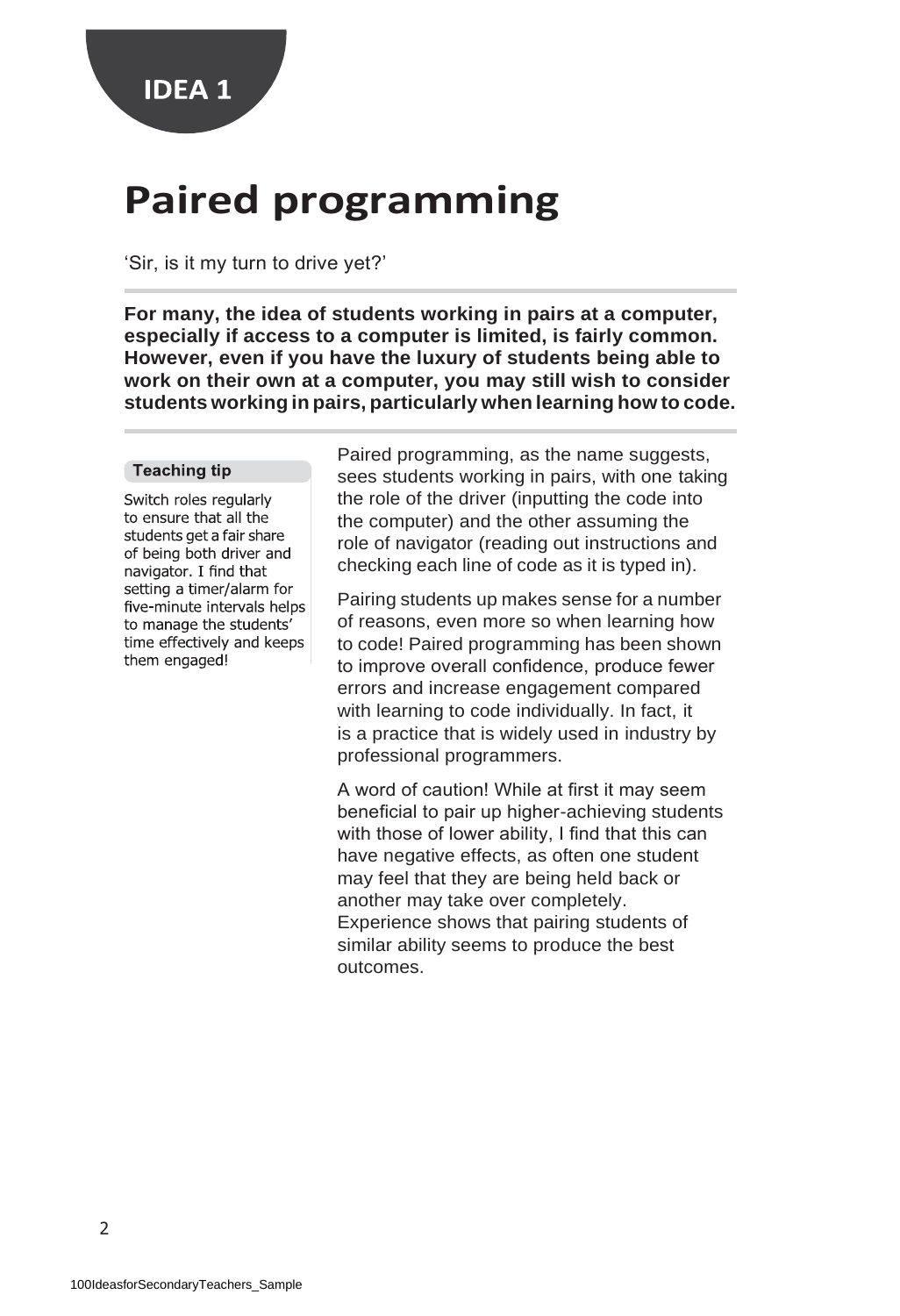### **Paired programming**

'Sir, is it my turn to drive yet?'

**For many, the idea of students working in pairs at a computer, especially if access to a computer is limited, is fairly common. However, even if you have the luxury of students being able to work on their own at a computer, you may still wish to consider students working in pairs, particularly when learning how to code.**

#### **Teaching tip**

Switch roles regularly to ensure that all the students get a fair share of being both driver and navigator. I find that setting a timer/alarm for five-minute intervals helps to manage the students' time effectively and keeps them engaged!

Paired programming, as the name suggests, sees students working in pairs, with one taking the role of the driver (inputting the code into the computer) and the other assuming the role of navigator (reading out instructions and checking each line of code as it is typed in).

Pairing students up makes sense for a number of reasons, even more so when learning how to code! Paired programming has been shown to improve overall confidence, produce fewer errors and increase engagement compared with learning to code individually. In fact, it is a practice that is widely used in industry by professional programmers.

A word of caution! While at first it may seem beneficial to pair up higher-achieving students with those of lower ability, I find that this can have negative effects, as often one student may feel that they are being held back or another may take over completely. Experience shows that pairing students of similar ability seems to produce the best outcomes.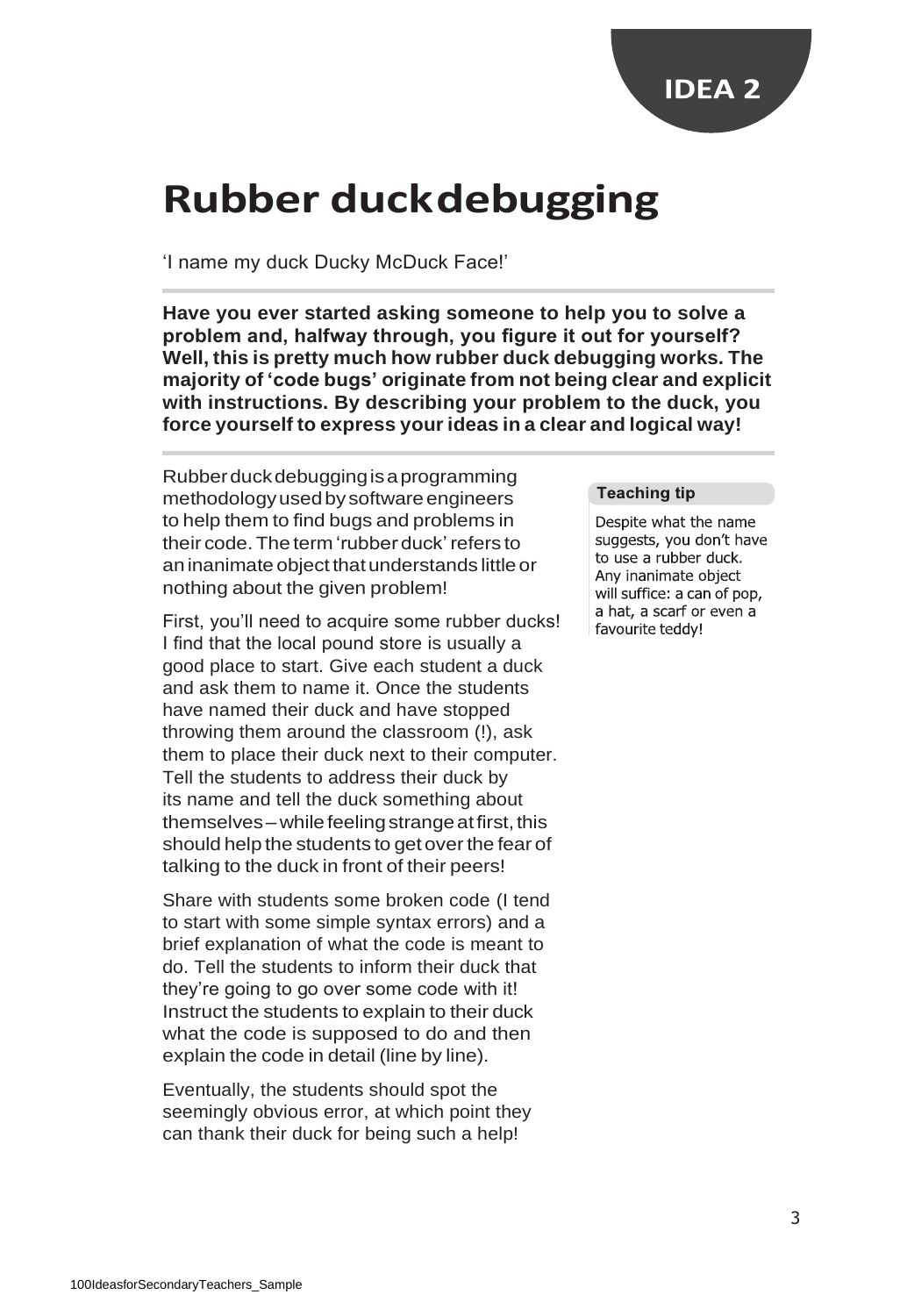

### **Rubber duckdebugging**

'I name my duck Ducky McDuck Face!'

**Have you ever started asking someone to help you to solve a problem and, halfway through, you figure it out for yourself? Well, this is pretty much how rubber duck debugging works. The majority of 'code bugs' originate from not being clear and explicit with instructions. By describing your problem to the duck, you force yourself to express your ideas in a clear and logical way!**

Rubberduckdebuggingisaprogramming methodologyusedby software engineers to help them to find bugs and problems in their code.The term 'rubber duck'refers to aninanimate object thatunderstands little or nothing about the given problem!

First, you'll need to acquire some rubber ducks! I find that the local pound store is usually a good place to start. Give each student a duck and ask them to name it. Once the students have named their duck and have stopped throwing them around the classroom (!), ask them to place their duck next to their computer. Tell the students to address their duck by its name and tell the duck something about themselves – while feeling strange at first, this should help the students to get over the fear of talking to the duck in front of their peers!

Share with students some broken code (I tend to start with some simple syntax errors) and a brief explanation of what the code is meant to do. Tell the students to inform their duck that they're going to go over some code with it! Instruct the students to explain to their duck what the code is supposed to do and then explain the code in detail (line by line).

Eventually, the students should spot the seemingly obvious error, at which point they can thank their duck for being such a help!

#### **Teaching tip**

Despite what the name suggests, you don't have to use a rubber duck. Any inanimate object will suffice: a can of pop, a hat, a scarf or even a favourite teddy!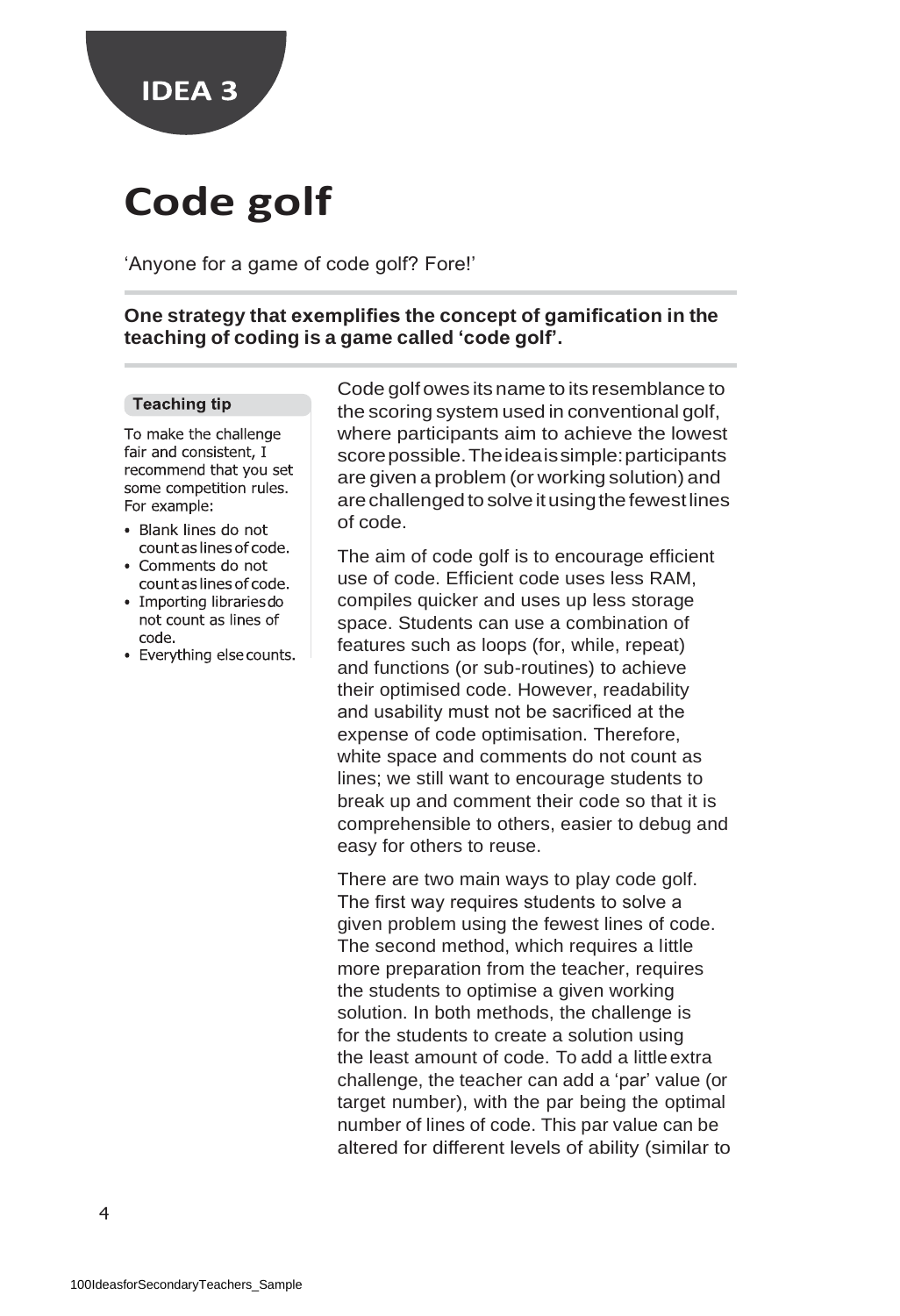

# **Code golf**

'Anyone for a game of code golf? Fore!'

**One strategy that exemplifies the concept of gamification in the teaching of coding is a game called 'code golf'.**

#### **Teaching tip**

To make the challenge fair and consistent, I recommend that you set some competition rules. For example:

- · Blank lines do not count as lines of code.
- Comments do not count as lines of code.
- Importing libraries do not count as lines of code
- · Everything else counts.

Code golf owes its name to its resemblance to the scoring system used in conventional golf, where participants aim to achieve the lowest scorepossible.Theideaissimple:participants are given a problem (or working solution) and are challenged to solve it using the fewest lines of code.

The aim of code golf is to encourage efficient use of code. Efficient code uses less RAM, compiles quicker and uses up less storage space. Students can use a combination of features such as loops (for, while, repeat) and functions (or sub-routines) to achieve their optimised code. However, readability and usability must not be sacrificed at the expense of code optimisation. Therefore, white space and comments do not count as lines; we still want to encourage students to break up and comment their code so that it is comprehensible to others, easier to debug and easy for others to reuse.

There are two main ways to play code golf. The first way requires students to solve a given problem using the fewest lines of code. The second method, which requires a little more preparation from the teacher, requires the students to optimise a given working solution. In both methods, the challenge is for the students to create a solution using the least amount of code. To add a little extra challenge, the teacher can add a 'par' value (or target number), with the par being the optimal number of lines of code. This par value can be altered for different levels of ability (similar to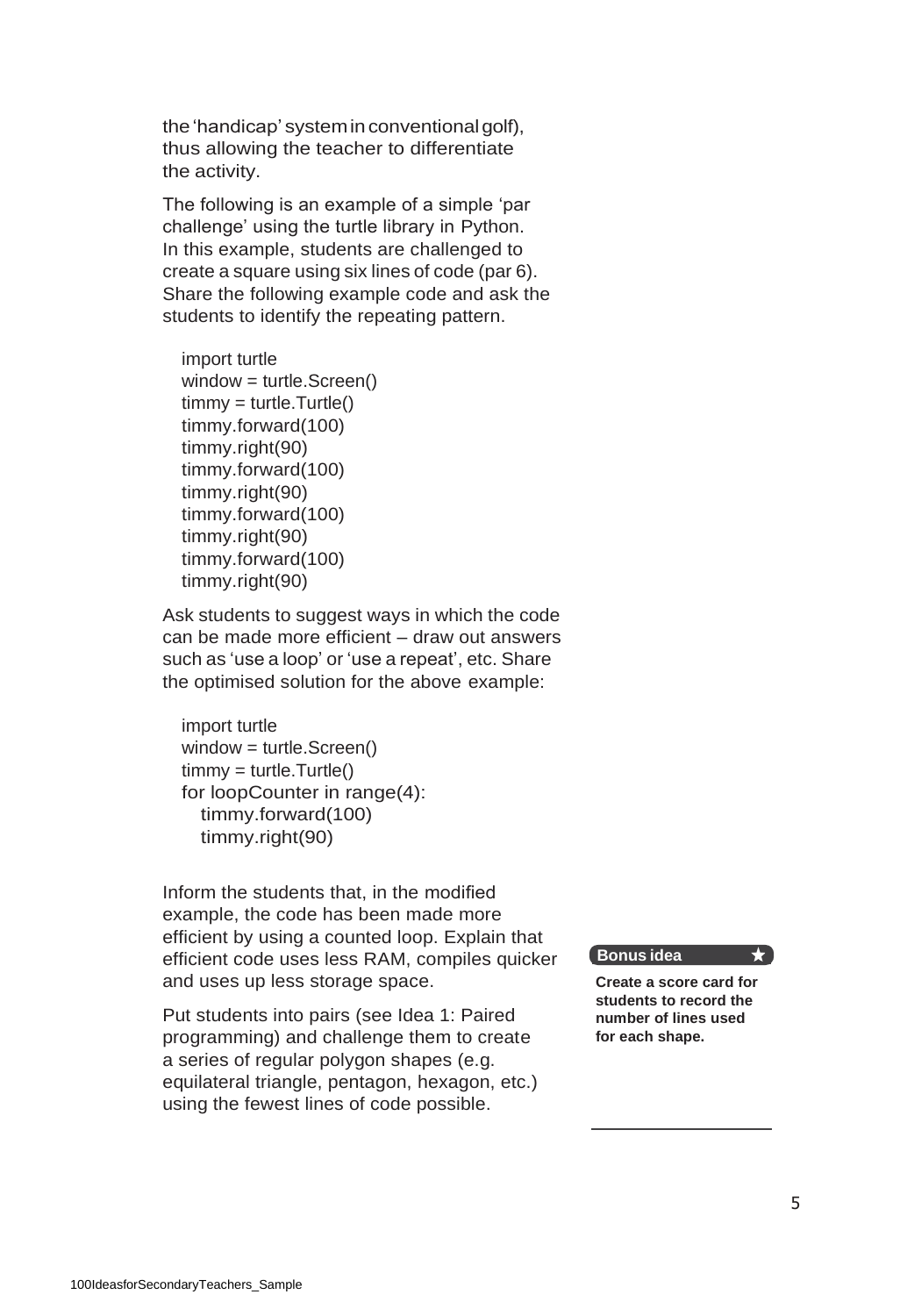the 'handicap' system in conventional golf), thus allowing the teacher to differentiate the activity.

The following is an example of a simple 'par challenge' using the turtle library in Python. In this example, students are challenged to create a square using six lines of code (par 6). Share the following example code and ask the students to identify the repeating pattern.

```
import turtle 
window = turtle.Screen()
timmy = turtle.Turtle() 
timmy.forward(100) 
timmy.right(90) 
timmy.forward(100) 
timmy.right(90) 
timmy.forward(100) 
timmy.right(90) 
timmy.forward(100) 
timmy.right(90)
```
Ask students to suggest ways in which the code can be made more efficient – draw out answers such as 'use a loop' or 'use a repeat', etc. Share the optimised solution for the above example:

import turtle window = turtle.Screen() timmy = turtle.Turtle() for loopCounter in range(4): timmy.forward(100) timmy.right(90)

Inform the students that, in the modified example, the code has been made more efficient by using a counted loop. Explain that efficient code uses less RAM, compiles quicker and uses up less storage space.

Put students into pairs (see Idea 1: Paired programming) and challenge them to create a series of regular polygon shapes (e.g. equilateral triangle, pentagon, hexagon, etc.) using the fewest lines of code possible.

#### **Bonus idea**

**Create a score card for students to record the number of lines used for each shape.**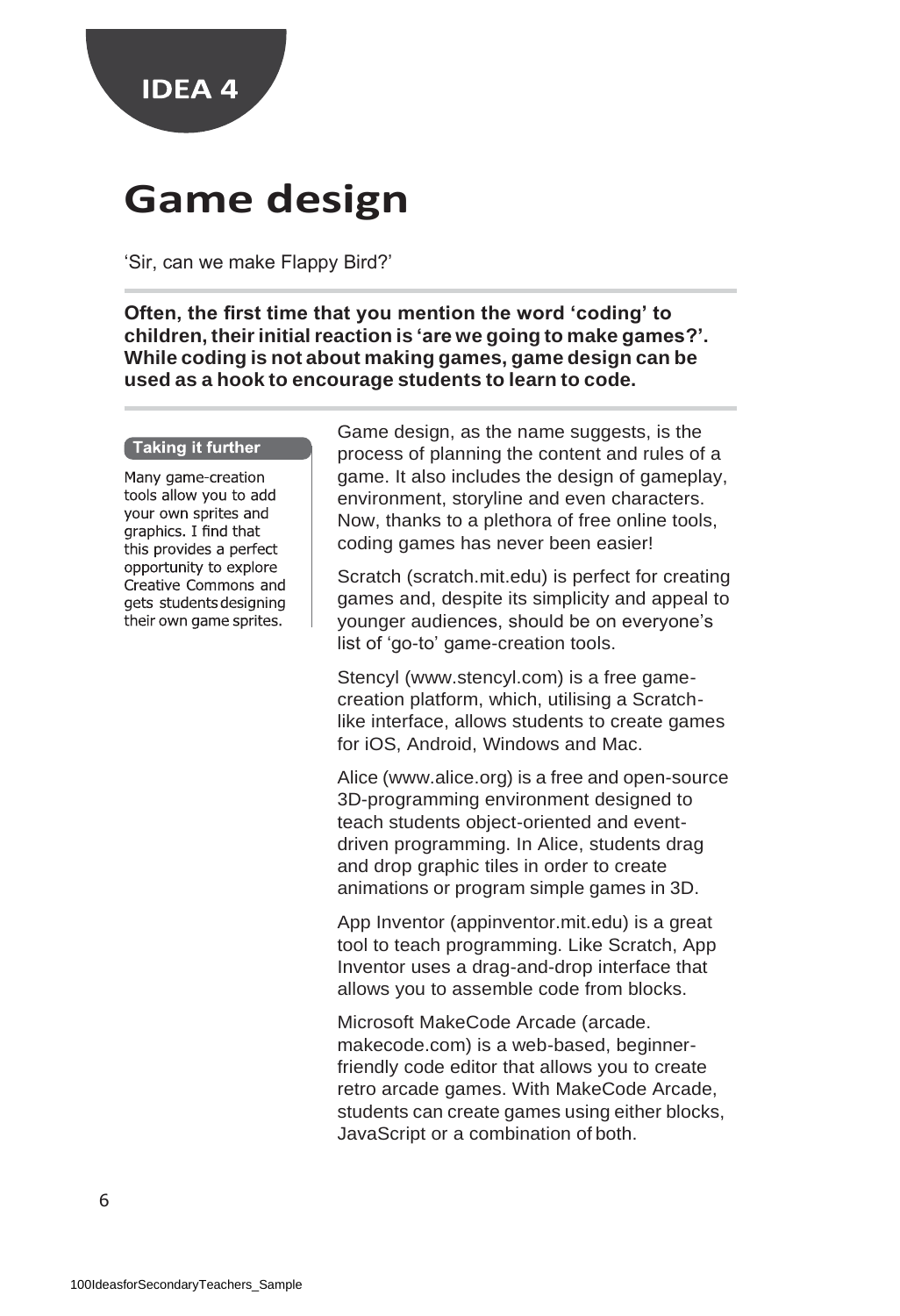

### **Game design**

'Sir, can we make Flappy Bird?'

**Often, the first time that you mention the word 'coding' to children, theirinitial reaction is 'are we going to make games?'. While coding is not about making games, game design can be used as a hook to encourage students to learn to code.**

#### Taking it further

Many game-creation tools allow you to add your own sprites and graphics. I find that this provides a perfect opportunity to explore Creative Commons and gets students designing their own game sprites.

Game design, as the name suggests, is the process of planning the content and rules of a game. It also includes the design of gameplay, environment, storyline and even characters. Now, thanks to a plethora of free online tools, coding games has never been easier!

Scratch (scratch.mit.edu) is perfect for creating games and, despite its simplicity and appeal to younger audiences, should be on everyone's list of 'go-to' game-creation tools.

Stencyl (www.stencyl.com) is a free gamecreation platform, which, utilising a Scratchlike interface, allows students to create games for iOS, Android, Windows and Mac.

Alice (www.alice.org) is a free and open-source 3D-programming environment designed to teach students object-oriented and eventdriven programming. In Alice, students drag and drop graphic tiles in order to create animations or program simple games in 3D.

App Inventor (appinventor.mit.edu) is a great tool to teach programming. Like Scratch, App Inventor uses a drag-and-drop interface that allows you to assemble code from blocks.

Microsoft MakeCode Arcade (arcade. makecode.com) is a web-based, beginnerfriendly code editor that allows you to create retro arcade games. With MakeCode Arcade, students can create games using either blocks, JavaScript or a combination of both.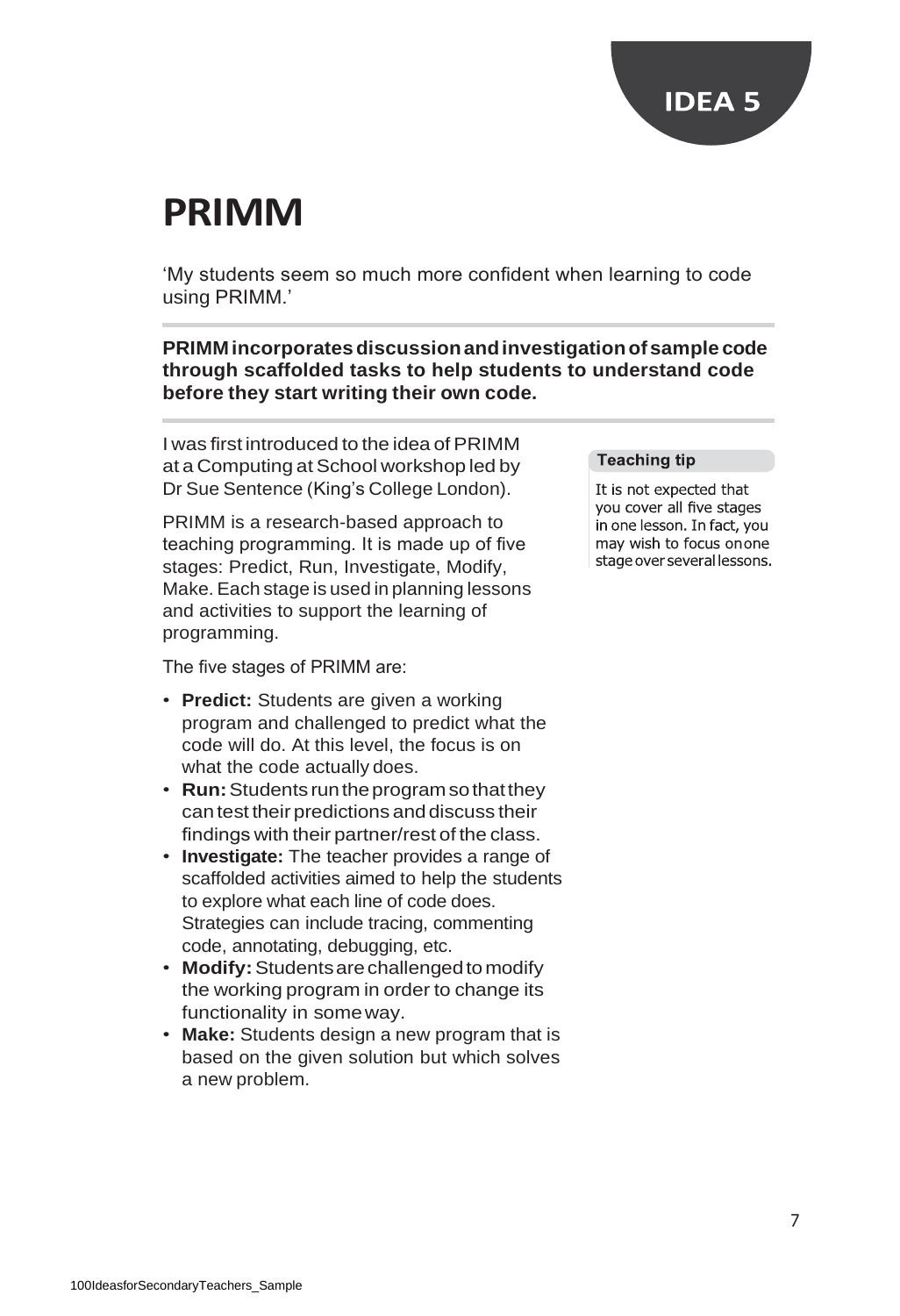### **PRIMM**

'My students seem so much more confident when learning to code using PRIMM.'

**PRIMM incorporatesdiscussionandinvestigationofsample code through scaffolded tasks to help students to understand code before they start writing their own code.**

I was first introduced to the idea of PRIMM at a Computing at School workshop led by Dr Sue Sentence (King's College London).

PRIMM is a research-based approach to teaching programming. It is made up of five stages: Predict, Run, Investigate, Modify, Make. Each stage is used in planning lessons and activities to support the learning of programming.

The five stages of PRIMM are:

- **Predict:** Students are given a working program and challenged to predict what the code will do. At this level, the focus is on what the code actually does.
- **Run:**Students runtheprogramsothatthey can test their predictions and discuss their findings with their partner/rest of the class.
- **Investigate:** The teacher provides a range of scaffolded activities aimed to help the students to explore what each line of code does. Strategies can include tracing, commenting code, annotating, debugging, etc.
- **Modify:**Studentsarechallengedtomodify the working program in order to change its functionality in someway.
- **Make:** Students design a new program that is based on the given solution but which solves a new problem.

#### **Teaching tip**

It is not expected that you cover all five stages in one lesson. In fact, you may wish to focus onone stage over several lessons.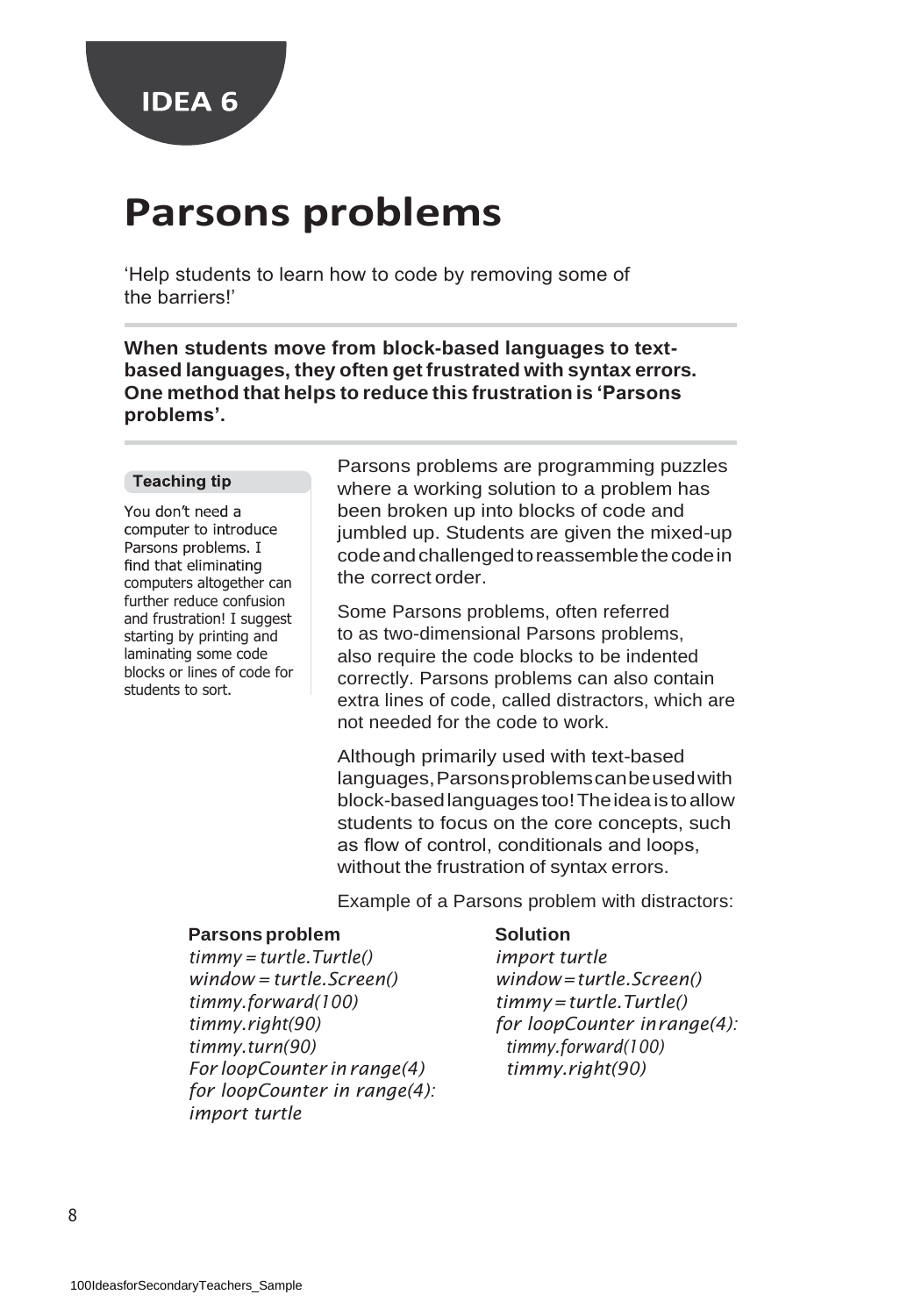

### **Parsons problems**

'Help students to learn how to code by removing some of the barriers!'

**When students move from block-based languages to textbased languages, they often get frustrated with syntax errors. One method that helps to reduce this frustration is 'Parsons problems'.**

#### **Teaching tip**

You don't need a computer to introduce Parsons problems. I find that eliminating computers altogether can further reduce confusion and frustration! I suggest starting by printing and laminating some code blocks or lines of code for students to sort.

Parsons problems are programming puzzles where a working solution to a problem has been broken up into blocks of code and jumbled up. Students are given the mixed-up code and challenged to reassemble the code in the correct order.

Some Parsons problems, often referred to as two-dimensional Parsons problems, also require the code blocks to be indented correctly. Parsons problems can also contain extra lines of code, called distractors, which are not needed for the code to work.

Although primarily used with text-based languages,Parsonsproblemscanbeusedwith block-basedlanguages too!Theideaistoallow students to focus on the core concepts, such as flow of control, conditionals and loops, without the frustration of syntax errors.

Example of a Parsons problem with distractors:

#### **Parsons problem Solution**

*timmy = turtle.Turtle() import turtle window = turtle.Screen() window=turtle.Screen() timmy.forward(100) timmy=turtle.Turtle() timmy.right(90) for loopCounter inrange(4): timmy.turn(90) timmy.forward(100) For loopCounter inrange(4) timmy.right(90) for loopCounter in range(4): import turtle*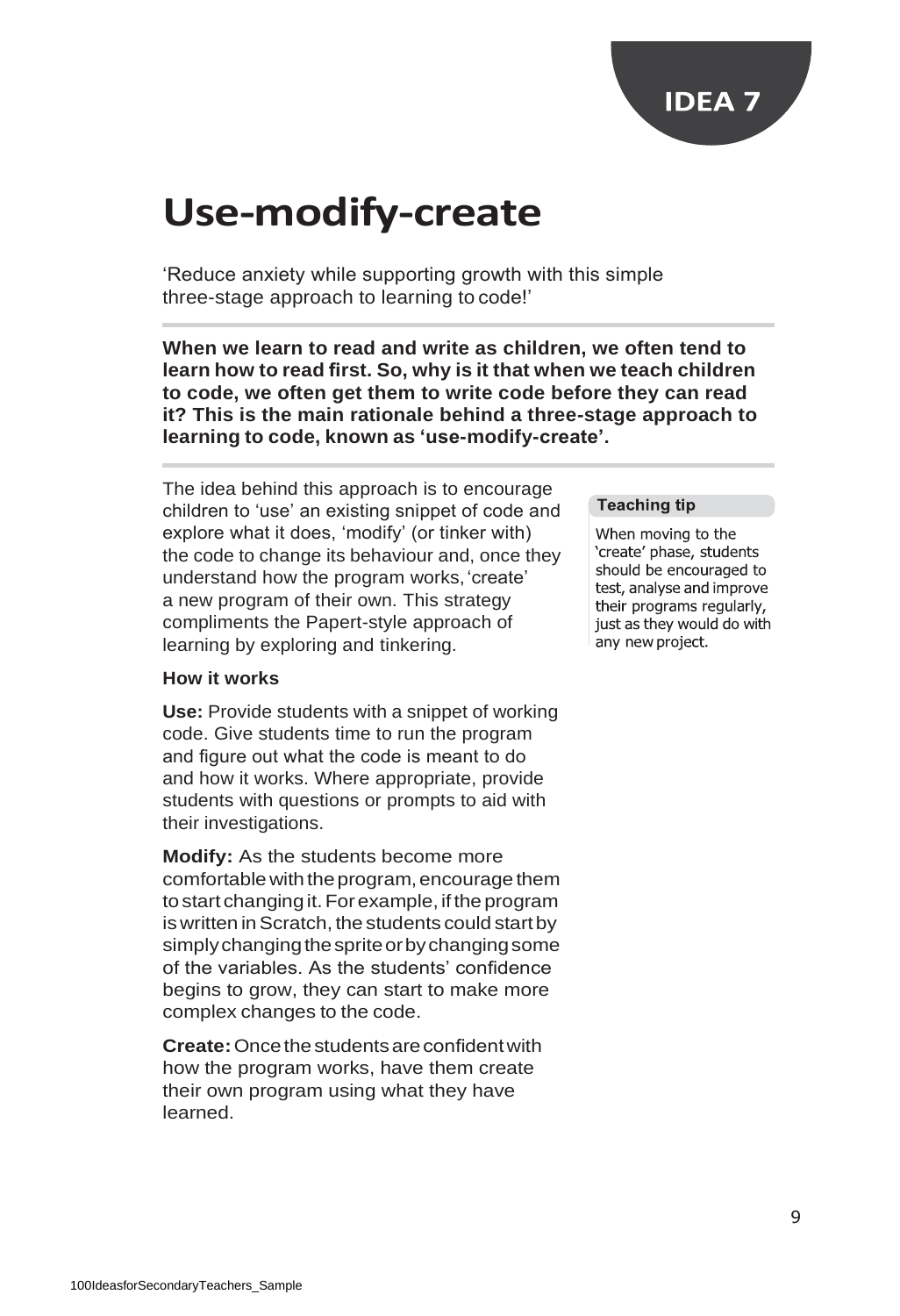

### **Use-modify-create**

'Reduce anxiety while supporting growth with this simple three-stage approach to learning to code!'

**When we learn to read and write as children, we often tend to learn how to read first. So, why is it that when we teach children to code, we often get them to write code before they can read it? This is the main rationale behind a three-stage approach to learning to code, known as 'use-modify-create'.**

The idea behind this approach is to encourage children to 'use' an existing snippet of code and explore what it does, 'modify' (or tinker with) the code to change its behaviour and, once they understand how the program works,'create' a new program of their own. This strategy compliments the Papert-style approach of learning by exploring and tinkering.

#### **How it works**

**Use:** Provide students with a snippet of working code. Give students time to run the program and figure out what the code is meant to do and how it works. Where appropriate, provide students with questions or prompts to aid with their investigations.

**Modify:** As the students become more comfortablewith theprogram,encourage them to start changing it. For example, if the program is written in Scratch, the students could start by simply changing the sprite or by changing some of the variables. As the students' confidence begins to grow, they can start to make more complex changes to the code.

**Create:** Once the students are confident with how the program works, have them create their own program using what they have learned.

#### **Teaching tip**

When moving to the 'create' phase, students should be encouraged to test, analyse and improve their programs regularly, just as they would do with any new project.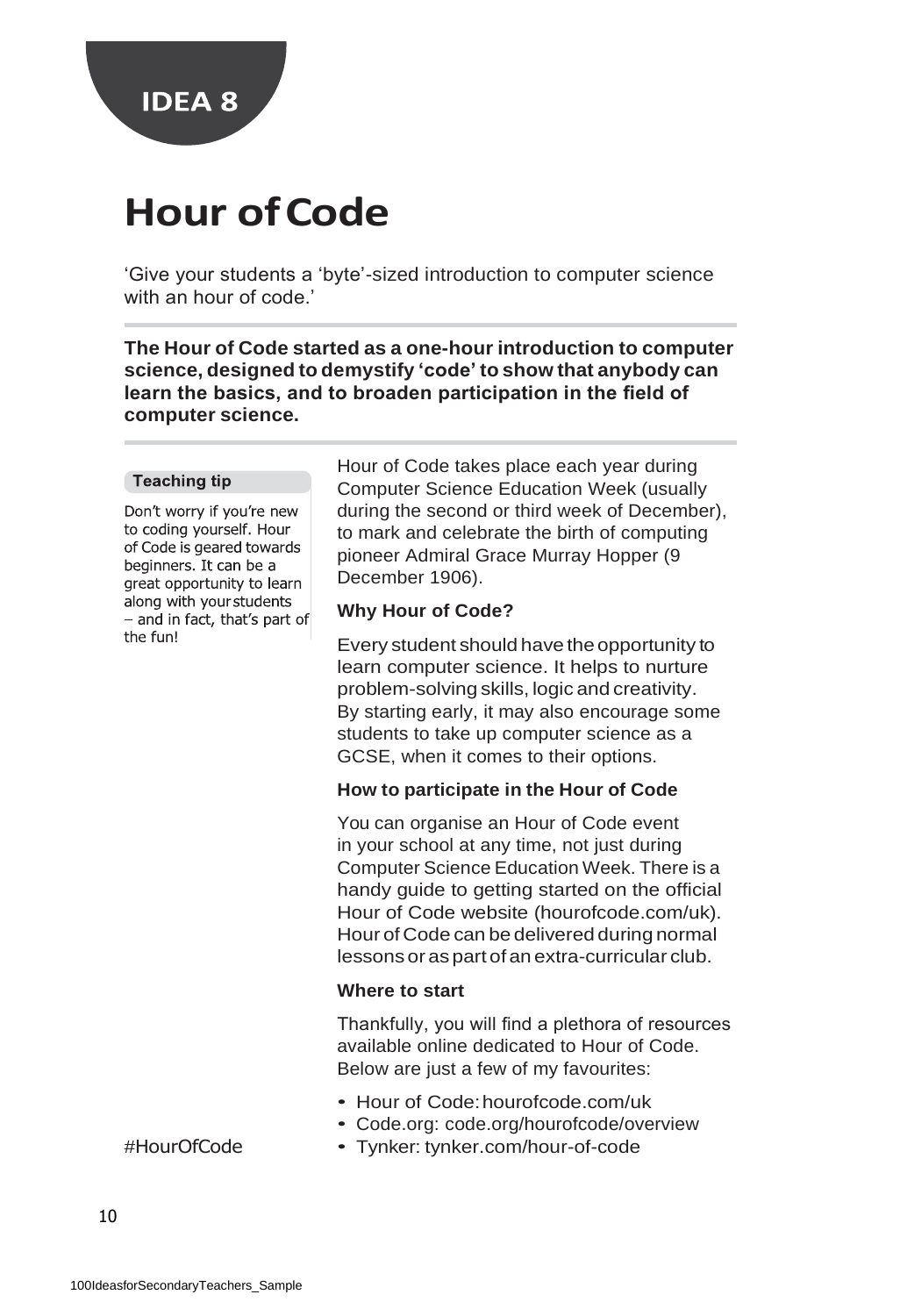

### **Hour ofCode**

'Give your students a 'byte'-sized introduction to computer science with an hour of code.'

**The Hour of Code started as a one-hour introduction to computer science, designed to demystify 'code' to show that anybody can learn the basics, and to broaden participation in the field of computer science.**

#### **Teaching tip**

Don't worry if you're new to coding yourself. Hour of Code is geared towards beginners. It can be a great opportunity to learn along with your students - and in fact, that's part of the fun!

Hour of Code takes place each year during Computer Science Education Week (usually during the second or third week of December), to mark and celebrate the birth of computing pioneer Admiral Grace Murray Hopper (9 December 1906).

#### **Why Hour of Code?**

Every student should have theopportunity to learn computer science. It helps to nurture problem-solving skills, logic and creativity. By starting early, it may also encourage some students to take up computer science as a GCSE, when it comes to their options.

#### **How to participate in the Hour of Code**

You can organise an Hour of Code event in your school at any time, not just during Computer Science Education Week. There is a handy guide to getting started on the official Hour of Code website (hourofcode.com/uk). Hour of Code can be delivered during normal lessons or as part of an extra-curricular club.

#### **Where to start**

Thankfully, you will find a plethora of resources available online dedicated to Hour of Code. Below are just a few of my favourites:

- Hour of Code:hourofcode.com/uk
- Code.org: code.org/hourofcode/overview
- Tynker: tynker.com/hour-of-code

### #HourOfCode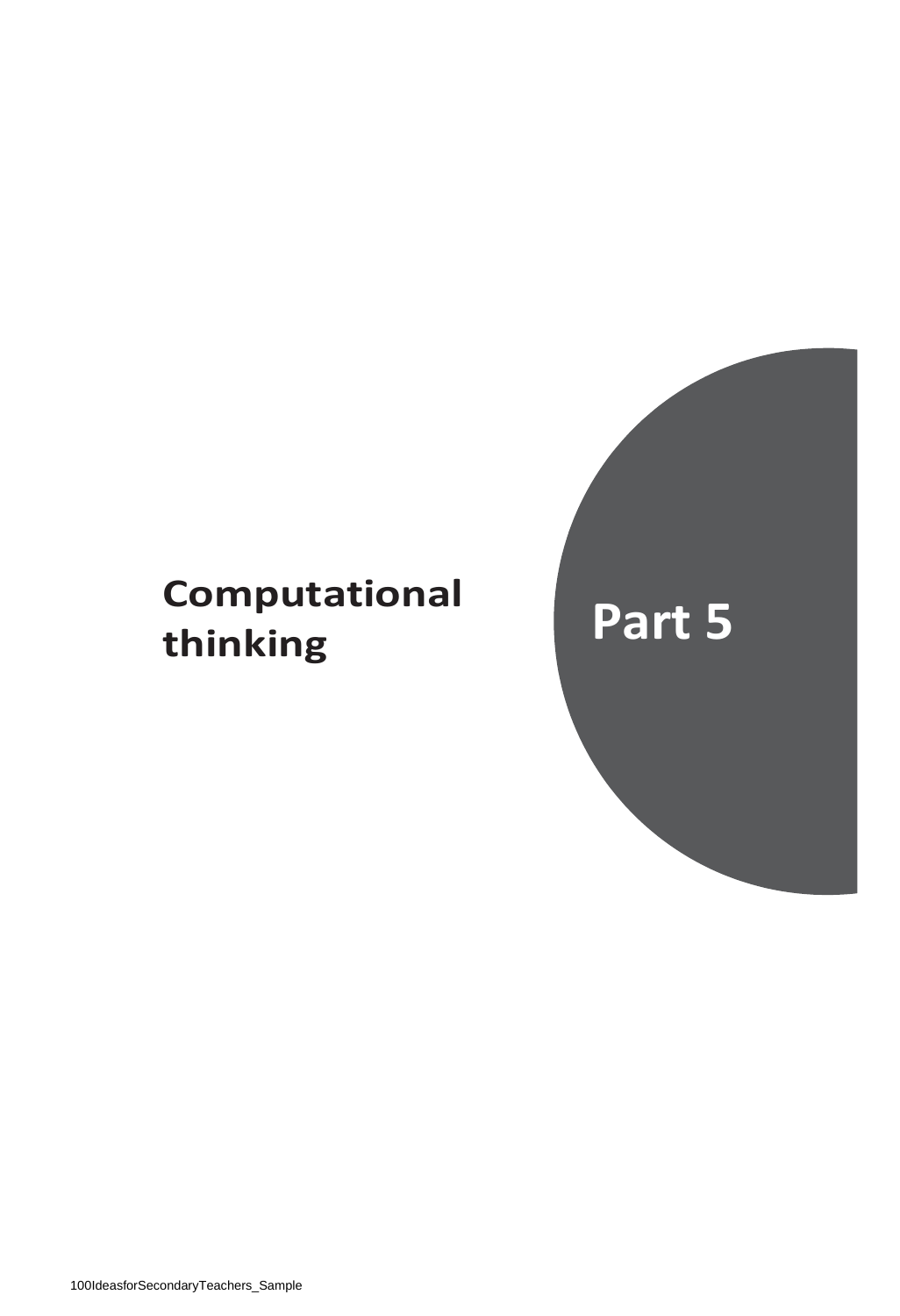### **Computational thinking Part 5**

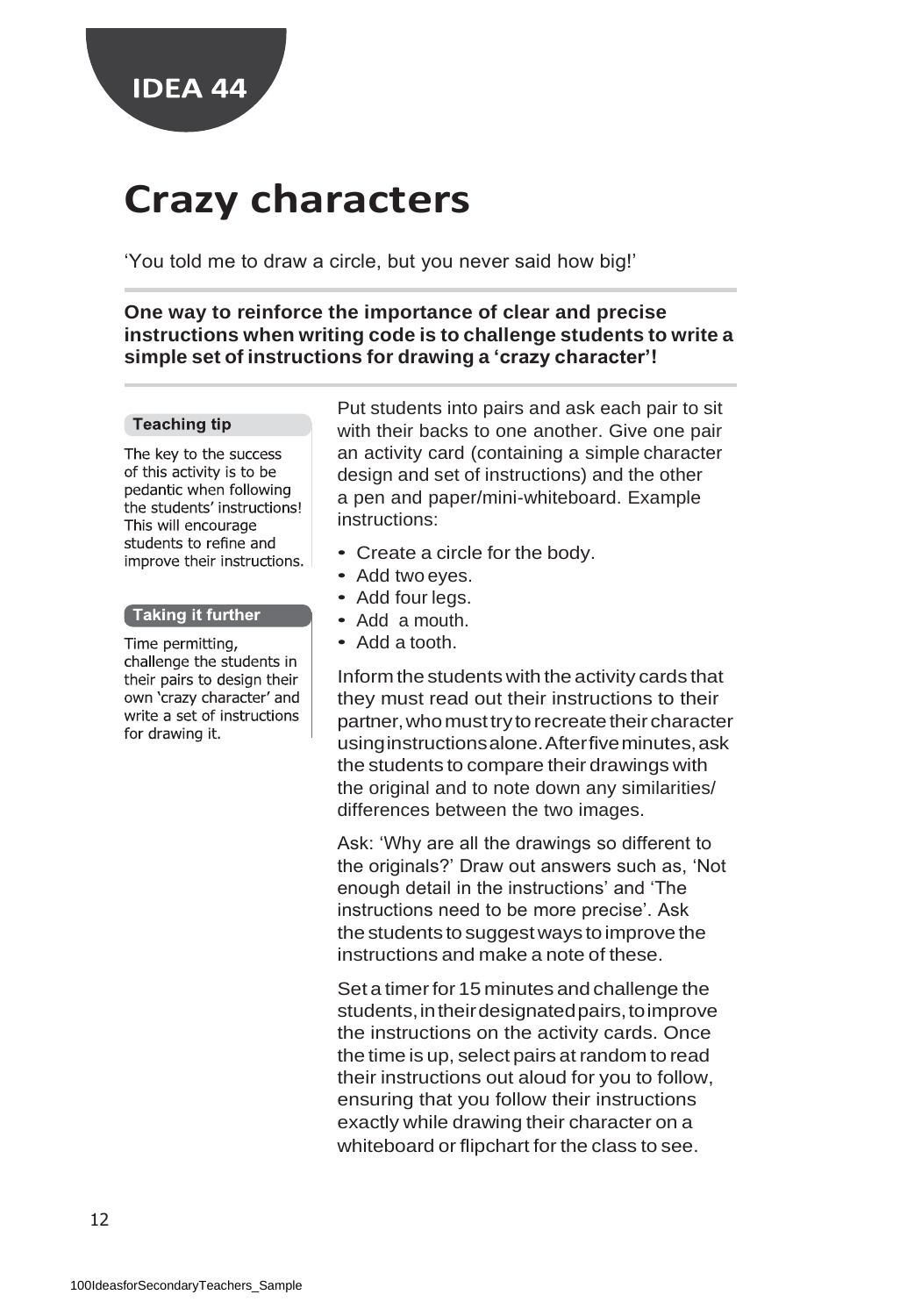

### **Crazy characters**

'You told me to draw a circle, but you never said how big!'

**One way to reinforce the importance of clear and precise instructions when writing code is to challenge students to write a simple set of instructions for drawing a 'crazy character'!**

#### **Teaching tip**

The key to the success of this activity is to be pedantic when following the students' instructions! This will encourage students to refine and improve their instructions.

#### Taking it further ]

Time permitting, challenge the students in their pairs to design their own 'crazy character' and write a set of instructions for drawing it.

Put students into pairs and ask each pair to sit with their backs to one another. Give one pair an activity card (containing a simple character design and set of instructions) and the other a pen and paper/mini-whiteboard. Example instructions:

- Create a circle for the body.
- Add two eyes.
- Add four legs.
- Add a mouth.
- Add a tooth.

Inform the students with the activity cards that they must read out their instructions to their partner, who must try to recreate their character usinginstructionsalone.Afterfiveminutes,ask the students to compare their drawings with the original and to note down any similarities/ differences between the two images.

Ask: 'Why are all the drawings so different to the originals?' Draw out answers such as, 'Not enough detail in the instructions' and 'The instructions need to be more precise'. Ask the students to suggest ways toimprove the instructions and make a note of these.

Set a timer for 15 minutes and challenge the students, in their designated pairs, to improve the instructions on the activity cards. Once the time is up, select pairs at random to read their instructions out aloud for you to follow, ensuring that you follow their instructions exactly while drawing their character on a whiteboard or flipchart for the class to see.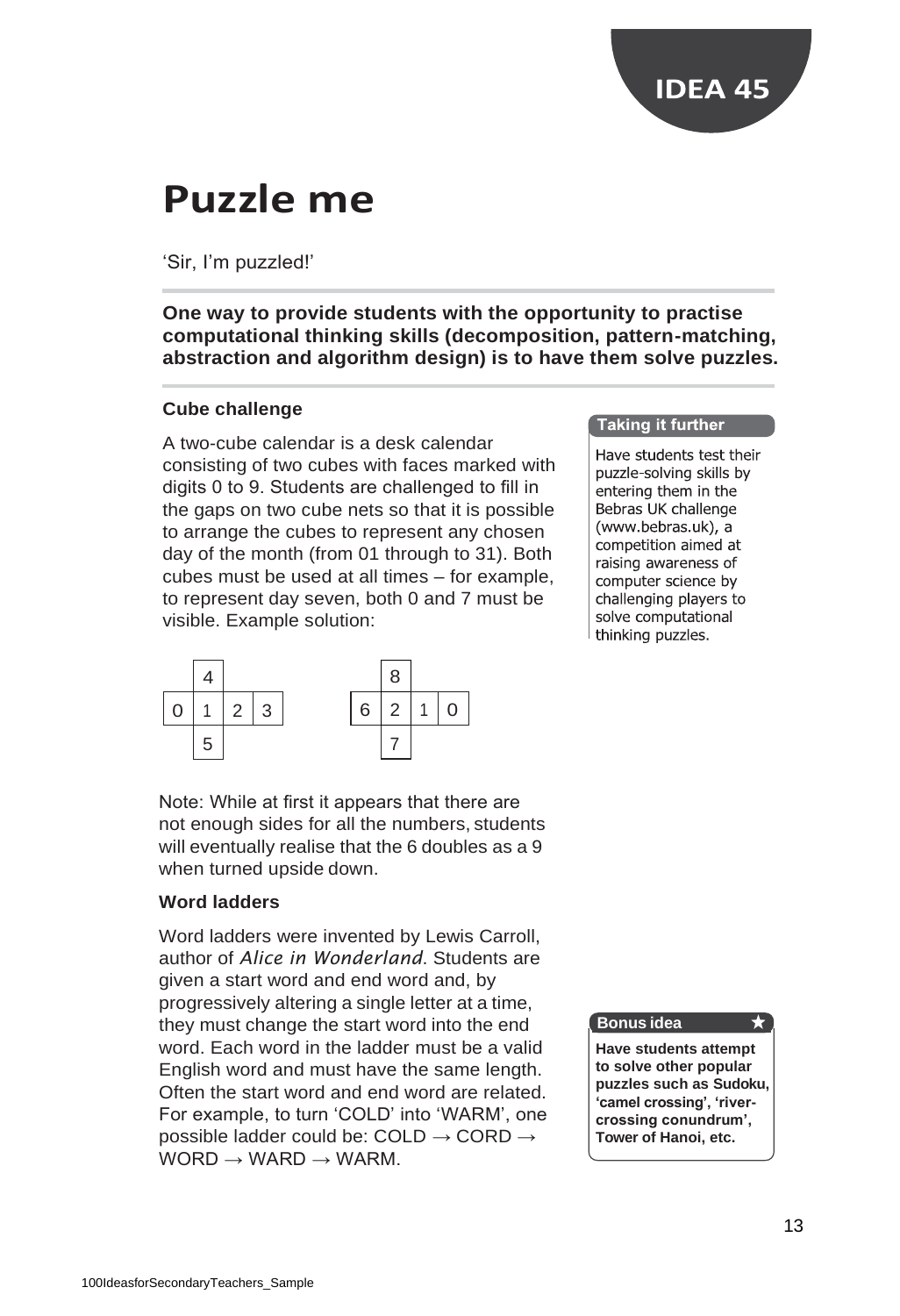

### **Puzzle me**

### 'Sir, I'm puzzled!'

### **One way to provide students with the opportunity to practise computational thinking skills (decomposition, pattern-matching, abstraction and algorithm design) is to have them solve puzzles.**

#### **Cube challenge**

A two-cube calendar is a desk calendar consisting of two cubes with faces marked with digits 0 to 9. Students are challenged to fill in the gaps on two cube nets so that it is possible to arrange the cubes to represent any chosen day of the month (from 01 through to 31). Both cubes must be used at all times – for example, to represent day seven, both 0 and 7 must be visible. Example solution:



Note: While at first it appears that there are not enough sides for all the numbers, students will eventually realise that the 6 doubles as a 9 when turned upside down.

### **Word ladders**

Word ladders were invented by Lewis Carroll, author of *Alice in Wonderland*. Students are given a start word and end word and, by progressively altering a single letter at a time, they must change the start word into the end word. Each word in the ladder must be a valid English word and must have the same length. Often the start word and end word are related. For example, to turn 'COLD' into 'WARM', one possible ladder could be: COLD  $\rightarrow$  CORD  $\rightarrow$  $WORD \rightarrow WARD \rightarrow WARM.$ 

#### **Taking it further**

Have students test their puzzle-solving skills by entering them in the Bebras UK challenge (www.bebras.uk), a competition aimed at raising awareness of computer science by challenging players to solve computational thinking puzzles.

#### **Bonus idea**

**Have students attempt to solve other popular puzzles such as Sudoku, 'camel crossing', 'rivercrossing conundrum', Tower of Hanoi, etc.**